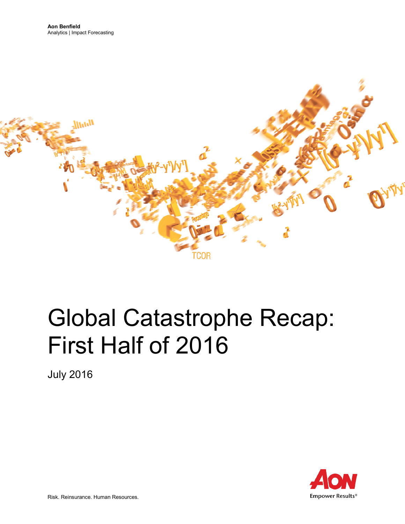

# Global Catastrophe Recap: First Half of 2016

July 2016

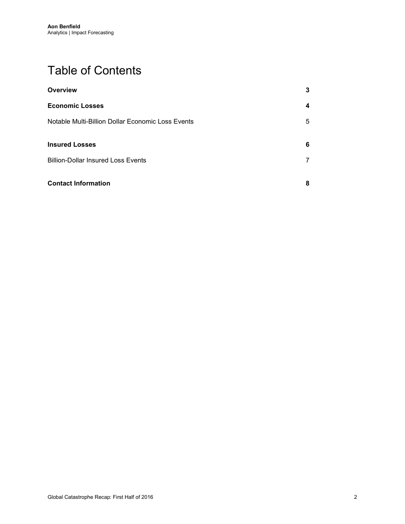# Table of Contents

| Overview                                          | 3 |
|---------------------------------------------------|---|
| <b>Economic Losses</b>                            | 4 |
| Notable Multi-Billion Dollar Economic Loss Events | 5 |
| <b>Insured Losses</b>                             | 6 |
| <b>Billion-Dollar Insured Loss Events</b>         | 7 |
| <b>Contact Information</b>                        | 8 |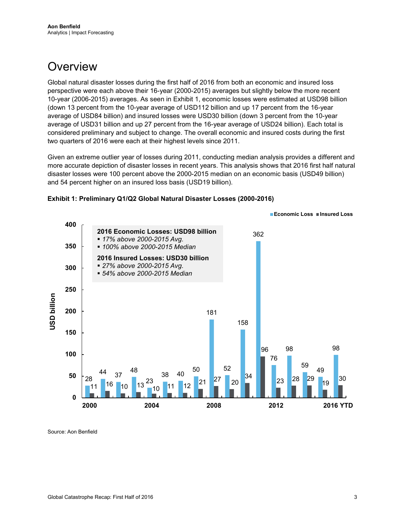# <span id="page-2-0"></span>**Overview**

Global natural disaster losses during the first half of 2016 from both an economic and insured loss perspective were each above their 16-year (2000-2015) averages but slightly below the more recent 10-year (2006-2015) averages. As seen in Exhibit 1, economic losses were estimated at USD98 billion (down 13 percent from the 10-year average of USD112 billion and up 17 percent from the 16-year average of USD84 billion) and insured losses were USD30 billion (down 3 percent from the 10-year average of USD31 billion and up 27 percent from the 16-year average of USD24 billion). Each total is considered preliminary and subject to change. The overall economic and insured costs during the first two quarters of 2016 were each at their highest levels since 2011.

Given an extreme outlier year of losses during 2011, conducting median analysis provides a different and more accurate depiction of disaster losses in recent years. This analysis shows that 2016 first half natural disaster losses were 100 percent above the 2000-2015 median on an economic basis (USD49 billion) and 54 percent higher on an insured loss basis (USD19 billion).





Source: Aon Benfield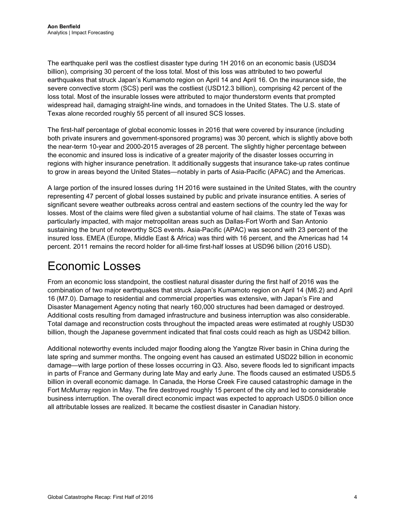The earthquake peril was the costliest disaster type during 1H 2016 on an economic basis (USD34 billion), comprising 30 percent of the loss total. Most of this loss was attributed to two powerful earthquakes that struck Japan's Kumamoto region on April 14 and April 16. On the insurance side, the severe convective storm (SCS) peril was the costliest (USD12.3 billion), comprising 42 percent of the loss total. Most of the insurable losses were attributed to major thunderstorm events that prompted widespread hail, damaging straight-line winds, and tornadoes in the United States. The U.S. state of Texas alone recorded roughly 55 percent of all insured SCS losses.

The first-half percentage of global economic losses in 2016 that were covered by insurance (including both private insurers and government-sponsored programs) was 30 percent, which is slightly above both the near-term 10-year and 2000-2015 averages of 28 percent. The slightly higher percentage between the economic and insured loss is indicative of a greater majority of the disaster losses occurring in regions with higher insurance penetration. It additionally suggests that insurance take-up rates continue to grow in areas beyond the United States—notably in parts of Asia-Pacific (APAC) and the Americas.

A large portion of the insured losses during 1H 2016 were sustained in the United States, with the country representing 47 percent of global losses sustained by public and private insurance entities. A series of significant severe weather outbreaks across central and eastern sections of the country led the way for losses. Most of the claims were filed given a substantial volume of hail claims. The state of Texas was particularly impacted, with major metropolitan areas such as Dallas-Fort Worth and San Antonio sustaining the brunt of noteworthy SCS events. Asia-Pacific (APAC) was second with 23 percent of the insured loss. EMEA (Europe, Middle East & Africa) was third with 16 percent, and the Americas had 14 percent. 2011 remains the record holder for all-time first-half losses at USD96 billion (2016 USD).

# <span id="page-3-0"></span>Economic Losses

From an economic loss standpoint, the costliest natural disaster during the first half of 2016 was the combination of two major earthquakes that struck Japan's Kumamoto region on April 14 (M6.2) and April 16 (M7.0). Damage to residential and commercial properties was extensive, with Japan's Fire and Disaster Management Agency noting that nearly 160,000 structures had been damaged or destroyed. Additional costs resulting from damaged infrastructure and business interruption was also considerable. Total damage and reconstruction costs throughout the impacted areas were estimated at roughly USD30 billion, though the Japanese government indicated that final costs could reach as high as USD42 billion.

Additional noteworthy events included major flooding along the Yangtze River basin in China during the late spring and summer months. The ongoing event has caused an estimated USD22 billion in economic damage—with large portion of these losses occurring in Q3. Also, severe floods led to significant impacts in parts of France and Germany during late May and early June. The floods caused an estimated USD5.5 billion in overall economic damage. In Canada, the Horse Creek Fire caused catastrophic damage in the Fort McMurray region in May. The fire destroyed roughly 15 percent of the city and led to considerable business interruption. The overall direct economic impact was expected to approach USD5.0 billion once all attributable losses are realized. It became the costliest disaster in Canadian history.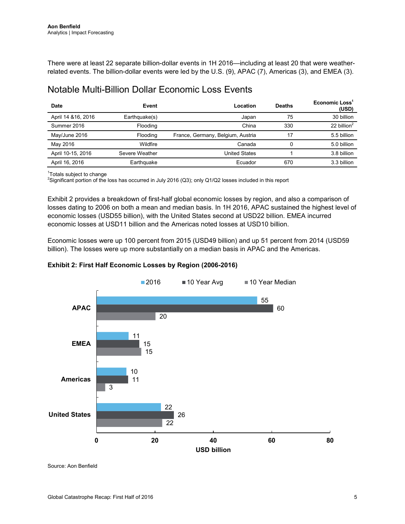There were at least 22 separate billion-dollar events in 1H 2016—including at least 20 that were weatherrelated events. The billion-dollar events were led by the U.S. (9), APAC (7), Americas (3), and EMEA (3).

### <span id="page-4-0"></span>Notable Multi-Billion Dollar Economic Loss Events

| <b>Date</b>         | Event          | Location                          | <b>Deaths</b> | Economic Loss <sup>1</sup><br>(USD) |
|---------------------|----------------|-----------------------------------|---------------|-------------------------------------|
| April 14 & 16, 2016 | Earthquake(s)  | Japan                             | 75            | 30 billion                          |
| Summer 2016         | Flooding       | China                             | 330           | 22 billion $2$                      |
| May/June 2016       | Flooding       | France, Germany, Belgium, Austria | 17            | 5.5 billion                         |
| May 2016            | Wildfire       | Canada                            | 0             | 5.0 billion                         |
| April 10-15, 2016   | Severe Weather | United States                     |               | 3.8 billion                         |
| April 16, 2016      | Earthquake     | Ecuador                           | 670           | 3.3 billion                         |

1 Totals subject to change

2 Significant portion of the loss has occurred in July 2016 (Q3); only Q1/Q2 losses included in this report

Exhibit 2 provides a breakdown of first-half global economic losses by region, and also a comparison of losses dating to 2006 on both a mean and median basis. In 1H 2016, APAC sustained the highest level of economic losses (USD55 billion), with the United States second at USD22 billion. EMEA incurred economic losses at USD11 billion and the Americas noted losses at USD10 billion.

Economic losses were up 100 percent from 2015 (USD49 billion) and up 51 percent from 2014 (USD59 billion). The losses were up more substantially on a median basis in APAC and the Americas.



#### **Exhibit 2: First Half Economic Losses by Region (2006-2016)**

Source: Aon Benfield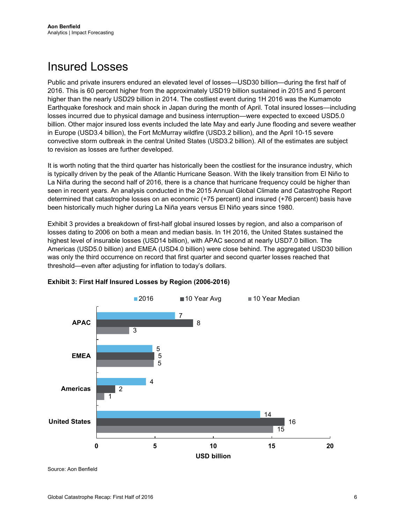### <span id="page-5-0"></span>Insured Losses

Public and private insurers endured an elevated level of losses—USD30 billion—during the first half of 2016. This is 60 percent higher from the approximately USD19 billion sustained in 2015 and 5 percent higher than the nearly USD29 billion in 2014. The costliest event during 1H 2016 was the Kumamoto Earthquake foreshock and main shock in Japan during the month of April. Total insured losses—including losses incurred due to physical damage and business interruption—were expected to exceed USD5.0 billion. Other major insured loss events included the late May and early June flooding and severe weather in Europe (USD3.4 billion), the Fort McMurray wildfire (USD3.2 billion), and the April 10-15 severe convective storm outbreak in the central United States (USD3.2 billion). All of the estimates are subject to revision as losses are further developed.

It is worth noting that the third quarter has historically been the costliest for the insurance industry, which is typically driven by the peak of the Atlantic Hurricane Season. With the likely transition from El Niño to La Niña during the second half of 2016, there is a chance that hurricane frequency could be higher than seen in recent years. An analysis conducted in the 2015 Annual Global Climate and Catastrophe Report determined that catastrophe losses on an economic (+75 percent) and insured (+76 percent) basis have been historically much higher during La Niña years versus El Niño years since 1980.

Exhibit 3 provides a breakdown of first-half global insured losses by region, and also a comparison of losses dating to 2006 on both a mean and median basis. In 1H 2016, the United States sustained the highest level of insurable losses (USD14 billion), with APAC second at nearly USD7.0 billion. The Americas (USD5.0 billion) and EMEA (USD4.0 billion) were close behind. The aggregated USD30 billion was only the third occurrence on record that first quarter and second quarter losses reached that threshold—even after adjusting for inflation to today's dollars.



#### **Exhibit 3: First Half Insured Losses by Region (2006-2016)**

Source: Aon Benfield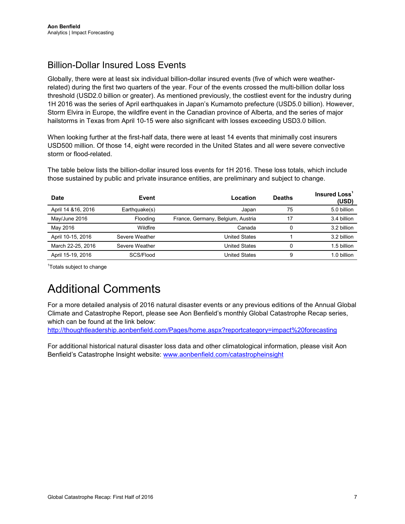### <span id="page-6-0"></span>Billion-Dollar Insured Loss Events

Globally, there were at least six individual billion-dollar insured events (five of which were weatherrelated) during the first two quarters of the year. Four of the events crossed the multi-billion dollar loss threshold (USD2.0 billion or greater). As mentioned previously, the costliest event for the industry during 1H 2016 was the series of April earthquakes in Japan's Kumamoto prefecture (USD5.0 billion). However, Storm Elvira in Europe, the wildfire event in the Canadian province of Alberta, and the series of major hailstorms in Texas from April 10-15 were also significant with losses exceeding USD3.0 billion.

When looking further at the first-half data, there were at least 14 events that minimally cost insurers USD500 million. Of those 14, eight were recorded in the United States and all were severe convective storm or flood-related.

The table below lists the billion-dollar insured loss events for 1H 2016. These loss totals, which include those sustained by public and private insurance entities, are preliminary and subject to change.

| <b>Date</b>         | Event          | Location                          | <b>Deaths</b> | <b>Insured Loss</b><br>(USD) |
|---------------------|----------------|-----------------------------------|---------------|------------------------------|
| April 14 & 16, 2016 | Earthquake(s)  | Japan                             | 75            | 5.0 billion                  |
| May/June 2016       | Flooding       | France, Germany, Belgium, Austria | 17            | 3.4 billion                  |
| May 2016            | Wildfire       | Canada                            |               | 3.2 billion                  |
| April 10-15, 2016   | Severe Weather | United States                     |               | 3.2 billion                  |
| March 22-25, 2016   | Severe Weather | United States                     | 0             | 1.5 billion                  |
| April 15-19, 2016   | SCS/Flood      | United States                     | 9             | 1.0 billion                  |

<sup>1</sup>Totals subject to change

# Additional Comments

For a more detailed analysis of 2016 natural disaster events or any previous editions of the Annual Global Climate and Catastrophe Report, please see Aon Benfield's monthly Global Catastrophe Recap series, which can be found at the link below:

<http://thoughtleadership.aonbenfield.com/Pages/home.aspx?reportcategory=impact%20forecasting>

For additional historical natural disaster loss data and other climatological information, please visit Aon Benfield's Catastrophe Insight website: [www.aonbenfield.com/catastropheinsight](http://www.aonbenfield.com/catastropheinsight)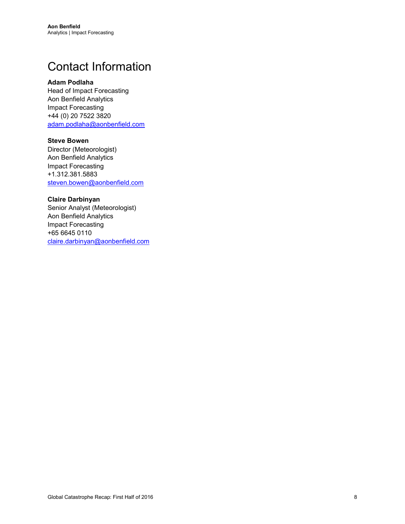# <span id="page-7-0"></span>Contact Information

#### **Adam Podlaha**

Head of Impact Forecasting Aon Benfield Analytics Impact Forecasting +44 (0) 20 7522 3820 [adam.podlaha@aonbenfield.com](mailto:adam.podlaha@aonbenfield.com)

#### **Steve Bowen**

Director (Meteorologist) Aon Benfield Analytics Impact Forecasting +1.312.381.5883 [steven.bowen@aonbenfield.com](mailto:steven.bowen@aonbenfield.com)

#### **Claire Darbinyan**

Senior Analyst (Meteorologist) Aon Benfield Analytics Impact Forecasting +65 6645 0110 [claire.darbinyan@aonbenfield.com](mailto:claire.darbinyan@aonbenfield.com)